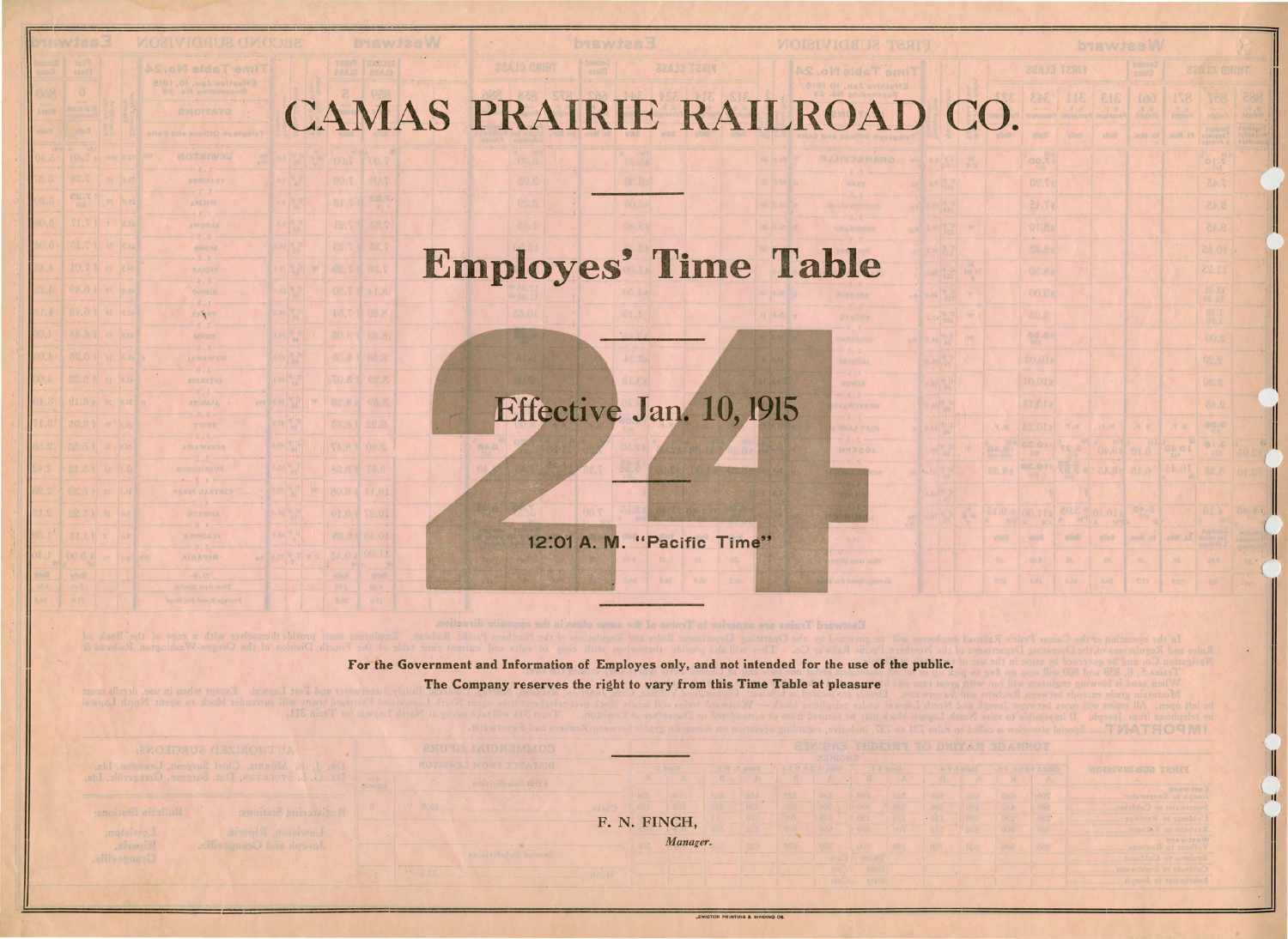## CAMAS PRAIRIE RAILROAD CO

## Employes' Time Table

Effective Jan. 10, 1915

12:01 A. M. "Pacific Time"

For the Government and Information of Employes only, and not intended for the use of the public. The Company reserves the right to vary from this Time Table at pleasure

F. N. FINCH,

Manager.

消化系统

wheoix

工厂

a. J. L. Morais, Chief Surgeon, Lewiston,

**SECONDY** FIRE

80.0 11.01

Joseph and Genngeville.

Riparin,

|                             |                         |                       | biswissW          |                               |                               |                                            |                     |   |
|-----------------------------|-------------------------|-----------------------|-------------------|-------------------------------|-------------------------------|--------------------------------------------|---------------------|---|
|                             |                         | <b>FIRST CLASS</b>    |                   | bnoon2<br><b>Basid</b>        |                               | <b>22A IS OSINT</b>                        |                     |   |
|                             | 343                     | 313   311             |                   | 109<br><b>DELK</b><br>History | 871<br>高前                     | TEE.                                       | 288<br>N.W.         |   |
|                             | <b>Wall</b>             | viinti                | vilsit            | .noth 'x3                     | <b>PX</b> Minut.              | History.<br>a ga Intira<br><b>SYADEURT</b> | Erabien?<br>Erabien |   |
|                             | oo.th                   |                       |                   |                               |                               |                                            |                     |   |
|                             | <b>OS.Ta</b>            |                       |                   |                               |                               | 7.45                                       |                     |   |
|                             | <b>EESTe</b>            |                       |                   |                               |                               | 8.45                                       |                     |   |
|                             | 01.8a<br>28.82          |                       |                   |                               |                               | ci.e<br>10.45                              | ı,                  |   |
|                             | 02.8%                   |                       |                   |                               |                               | 11.25                                      |                     |   |
|                             | 00.88                   |                       |                   |                               |                               | $\frac{10}{10}$ SI                         |                     |   |
|                             | 75,0                    |                       |                   |                               |                               | 07.1                                       |                     |   |
|                             | 88.00                   |                       |                   |                               |                               | <b>OOA</b>                                 |                     |   |
|                             | <b>SOUTE</b><br>10.012  |                       |                   |                               |                               | 08.8<br>08. 生                              |                     |   |
|                             | <b>ELDIE</b>            |                       |                   |                               |                               | 部规                                         |                     |   |
| $H_{\gamma}$ , $V_{\gamma}$ | 82.018                  | $\mathcal{H}_1$ at    | <b>N.W.</b>       | $-9 - 10$                     | $\mathbb{N}$ , $\mathbb{P}_+$ | 2,98                                       |                     |   |
| 小道                          | 88.011                  | S.27                  | 101<br>04.88 0T.0 | $h\lambda$                    | $\frac{1}{2}$                 |                                            | 国<br>60.81          |   |
| a.e.                        |                         | 6.15 30.45 3 39 10.35 |                   |                               | 10.45                         | 8.25                                       | UL 20               |   |
|                             | 1.8 a 00.Ifa            | $^{8}$ 3.05           | 01.01a            |                               |                               | O.I.b<br><b>B</b>                          | OF.R                |   |
| <b>William</b>              | NA A BU<br>$\sim$ youll | <b>VIND</b>           | A MY<br>vilad.    | Ex. Blux.                     | MONT.JES                      | <b>Ayeling</b> R<br><b>Synapsisk</b>       |                     |   |
| 75.                         | dir.b !                 | $\sim 40\%$           | $D^{\alpha}$      | 况.                            | $\omega$                      | 100元                                       | 20129<br>28.        |   |
| 职业                          | 美军4                     | $L \Delta I$          | 4.02              | tite                          | $-95$                         | <b>ALL 2.14</b>                            |                     | П |

TVATHOSIMI

| <b>DATE E PARK INT</b> |            | <b>FIRST SUBJUINEDR</b>             |
|------------------------|------------|-------------------------------------|
| 15 La                  | A          | A.                                  |
| 03.71                  | <b>OVT</b> | bacwier3<br>Joneph to Sweetwater.   |
| <b>DRI</b>             | 可作者        | Suecivity of Culcius                |
| ODR                    | 0294       | Culdesse in Revivos                 |
| 3300                   | <b>CON</b> | Reinbens in Veiliger                |
| <b>DOLL</b>            | 1976       | baswineW<br>ensches it as incollect |
|                        |            | Reuben to Cubins                    |
|                        |            | Culture to Smervinger               |
|                        |            | Actail of this whise 2              |